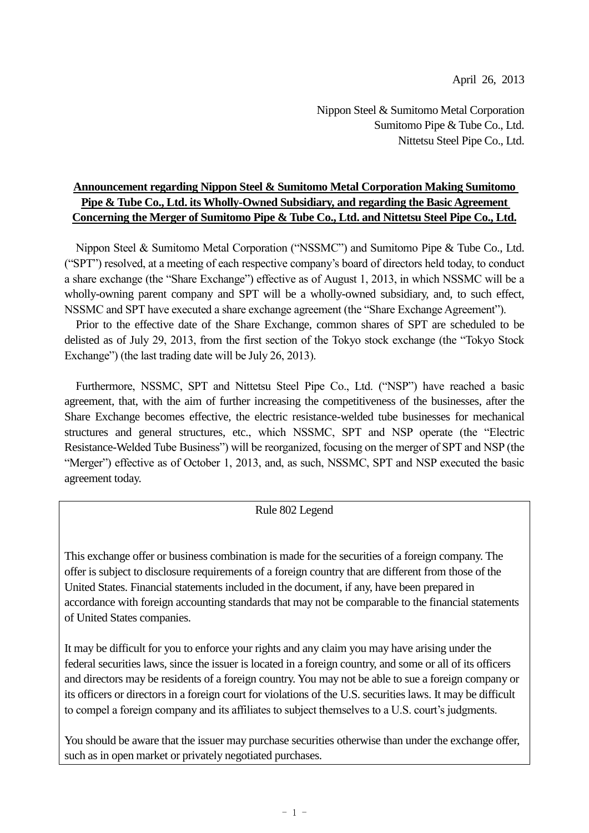April 26, 2013

Nippon Steel & Sumitomo Metal Corporation Sumitomo Pipe & Tube Co., Ltd. Nittetsu Steel Pipe Co., Ltd.

# **Announcement regarding Nippon Steel & Sumitomo Metal Corporation Making Sumitomo Pipe & Tube Co., Ltd. its Wholly-Owned Subsidiary, and regarding the Basic Agreement Concerning the Merger of Sumitomo Pipe & Tube Co., Ltd. and Nittetsu Steel Pipe Co., Ltd.**

Nippon Steel & Sumitomo Metal Corporation ("NSSMC") and Sumitomo Pipe & Tube Co., Ltd. ("SPT") resolved, at a meeting of each respective company's board of directors held today, to conduct a share exchange (the "Share Exchange") effective as of August 1, 2013, in which NSSMC will be a wholly-owning parent company and SPT will be a wholly-owned subsidiary, and, to such effect, NSSMC and SPT have executed a share exchange agreement (the "Share Exchange Agreement").

Prior to the effective date of the Share Exchange, common shares of SPT are scheduled to be delisted as of July 29, 2013, from the first section of the Tokyo stock exchange (the "Tokyo Stock Exchange") (the last trading date will be July 26, 2013).

Furthermore, NSSMC, SPT and Nittetsu Steel Pipe Co., Ltd. ("NSP") have reached a basic agreement, that, with the aim of further increasing the competitiveness of the businesses, after the Share Exchange becomes effective, the electric resistance-welded tube businesses for mechanical structures and general structures, etc., which NSSMC, SPT and NSP operate (the "Electric Resistance-Welded Tube Business") will be reorganized, focusing on the merger of SPT and NSP (the "Merger") effective as of October 1, 2013, and, as such, NSSMC, SPT and NSP executed the basic agreement today.

## Rule 802 Legend

This exchange offer or business combination is made for the securities of a foreign company. The offer is subject to disclosure requirements of a foreign country that are different from those of the United States. Financial statements included in the document, if any, have been prepared in accordance with foreign accounting standards that may not be comparable to the financial statements of United States companies.

It may be difficult for you to enforce your rights and any claim you may have arising under the federal securities laws, since the issuer is located in a foreign country, and some or all of its officers and directors may be residents of a foreign country. You may not be able to sue a foreign company or its officers or directors in a foreign court for violations of the U.S. securities laws. It may be difficult to compel a foreign company and its affiliates to subject themselves to a U.S. court's judgments.

You should be aware that the issuer may purchase securities otherwise than under the exchange offer, such as in open market or privately negotiated purchases.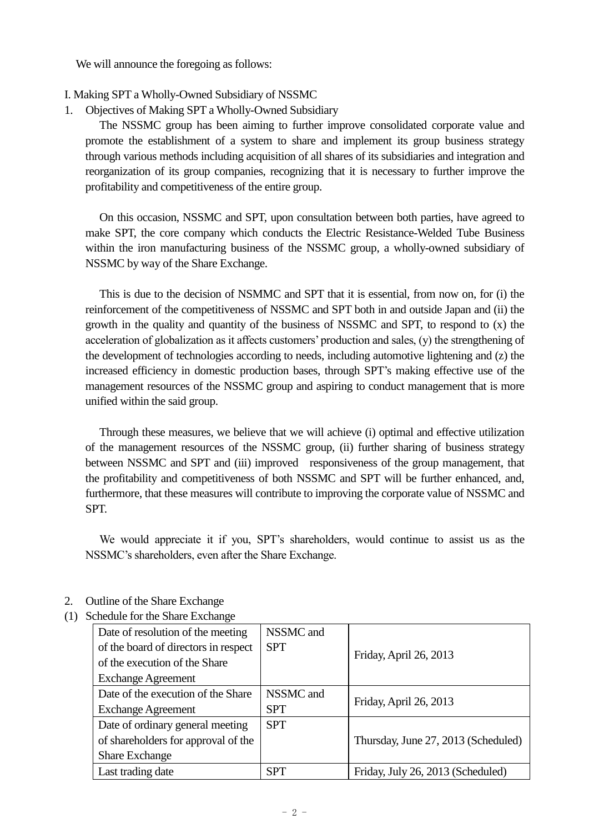We will announce the foregoing as follows:

### I. Making SPT a Wholly-Owned Subsidiary of NSSMC

1. Objectives of Making SPT a Wholly-Owned Subsidiary

The NSSMC group has been aiming to further improve consolidated corporate value and promote the establishment of a system to share and implement its group business strategy through various methods including acquisition of all shares of its subsidiaries and integration and reorganization of its group companies, recognizing that it is necessary to further improve the profitability and competitiveness of the entire group.

On this occasion, NSSMC and SPT, upon consultation between both parties, have agreed to make SPT, the core company which conducts the Electric Resistance-Welded Tube Business within the iron manufacturing business of the NSSMC group, a wholly-owned subsidiary of NSSMC by way of the Share Exchange.

This is due to the decision of NSMMC and SPT that it is essential, from now on, for (i) the reinforcement of the competitiveness of NSSMC and SPT both in and outside Japan and (ii) the growth in the quality and quantity of the business of NSSMC and SPT, to respond to (x) the acceleration of globalization as it affects customers' production and sales, (y) the strengthening of the development of technologies according to needs, including automotive lightening and (z) the increased efficiency in domestic production bases, through SPT's making effective use of the management resources of the NSSMC group and aspiring to conduct management that is more unified within the said group.

Through these measures, we believe that we will achieve (i) optimal and effective utilization of the management resources of the NSSMC group, (ii) further sharing of business strategy between NSSMC and SPT and (iii) improved responsiveness of the group management, that the profitability and competitiveness of both NSSMC and SPT will be further enhanced, and, furthermore, that these measures will contribute to improving the corporate value of NSSMC and SPT.

We would appreciate it if you, SPT's shareholders, would continue to assist us as the NSSMC's shareholders, even after the Share Exchange.

- 2. Outline of the Share Exchange
- (1) Schedule for the Share Exchange

| Date of resolution of the meeting<br>of the board of directors in respect<br>of the execution of the Share | NSSMC and<br><b>SPT</b> | Friday, April 26, 2013              |
|------------------------------------------------------------------------------------------------------------|-------------------------|-------------------------------------|
| <b>Exchange Agreement</b>                                                                                  |                         |                                     |
| Date of the execution of the Share                                                                         | NSSMC and               | Friday, April 26, 2013              |
| <b>Exchange Agreement</b>                                                                                  | <b>SPT</b>              |                                     |
| Date of ordinary general meeting                                                                           | <b>SPT</b>              |                                     |
| of shareholders for approval of the                                                                        |                         | Thursday, June 27, 2013 (Scheduled) |
| <b>Share Exchange</b>                                                                                      |                         |                                     |
| Last trading date                                                                                          | <b>SPT</b>              | Friday, July 26, 2013 (Scheduled)   |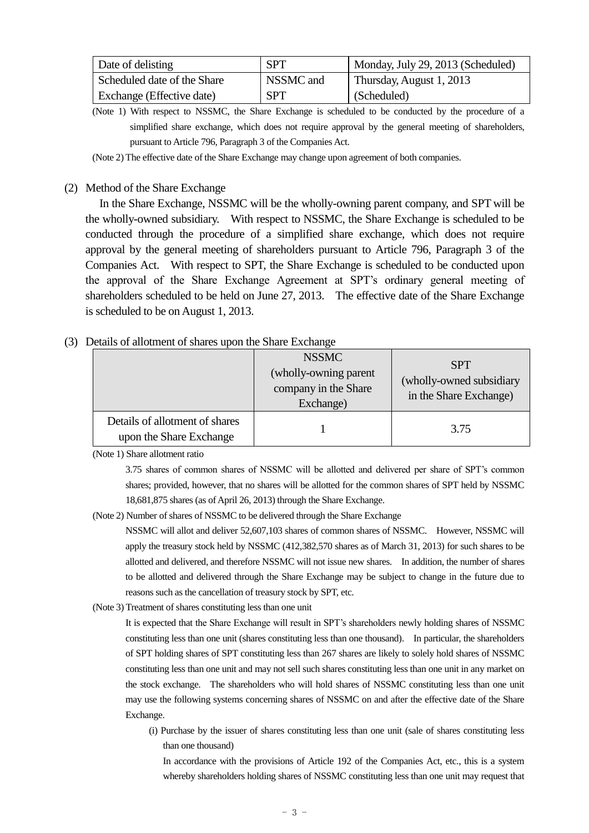| Date of delisting           | <b>SPT</b> | Monday, July 29, 2013 (Scheduled) |
|-----------------------------|------------|-----------------------------------|
| Scheduled date of the Share | NSSMC and  | Thursday, August 1, 2013          |
| Exchange (Effective date)   | <b>SPT</b> | (Scheduled)                       |

(Note 1) With respect to NSSMC, the Share Exchange is scheduled to be conducted by the procedure of a simplified share exchange, which does not require approval by the general meeting of shareholders, pursuant to Article 796, Paragraph 3 of the Companies Act.

(Note 2) The effective date of the Share Exchange may change upon agreement of both companies.

### (2) Method of the Share Exchange

In the Share Exchange, NSSMC will be the wholly-owning parent company, and SPT will be the wholly-owned subsidiary. With respect to NSSMC, the Share Exchange is scheduled to be conducted through the procedure of a simplified share exchange, which does not require approval by the general meeting of shareholders pursuant to Article 796, Paragraph 3 of the Companies Act. With respect to SPT, the Share Exchange is scheduled to be conducted upon the approval of the Share Exchange Agreement at SPT's ordinary general meeting of shareholders scheduled to be held on June 27, 2013. The effective date of the Share Exchange is scheduled to be on August 1, 2013.

## (3) Details of allotment of shares upon the Share Exchange

|                                                           | <b>NSSMC</b><br>(wholly-owning parent<br>company in the Share<br>Exchange) | <b>SPT</b><br>(wholly-owned subsidiary<br>in the Share Exchange) |  |
|-----------------------------------------------------------|----------------------------------------------------------------------------|------------------------------------------------------------------|--|
| Details of allotment of shares<br>upon the Share Exchange |                                                                            | 3.75                                                             |  |

(Note 1) Share allotment ratio

3.75 shares of common shares of NSSMC will be allotted and delivered per share of SPT's common shares; provided, however, that no shares will be allotted for the common shares of SPT held by NSSMC 18,681,875 shares (as of April 26, 2013) through the Share Exchange.

(Note 2) Number of shares of NSSMC to be delivered through the Share Exchange

NSSMC will allot and deliver 52,607,103 shares of common shares of NSSMC. However, NSSMC will apply the treasury stock held by NSSMC (412,382,570 shares as of March 31, 2013) for such shares to be allotted and delivered, and therefore NSSMC will not issue new shares. In addition, the number of shares to be allotted and delivered through the Share Exchange may be subject to change in the future due to reasons such as the cancellation of treasury stock by SPT, etc.

(Note 3) Treatment of shares constituting less than one unit

It is expected that the Share Exchange will result in SPT's shareholders newly holding shares of NSSMC constituting less than one unit (shares constituting less than one thousand). In particular, the shareholders of SPT holding shares of SPT constituting less than 267 shares are likely to solely hold shares of NSSMC constituting less than one unit and may not sell such shares constituting less than one unit in any market on the stock exchange. The shareholders who will hold shares of NSSMC constituting less than one unit may use the following systems concerning shares of NSSMC on and after the effective date of the Share Exchange.

(i) Purchase by the issuer of shares constituting less than one unit (sale of shares constituting less than one thousand)

In accordance with the provisions of Article 192 of the Companies Act, etc., this is a system whereby shareholders holding shares of NSSMC constituting less than one unit may request that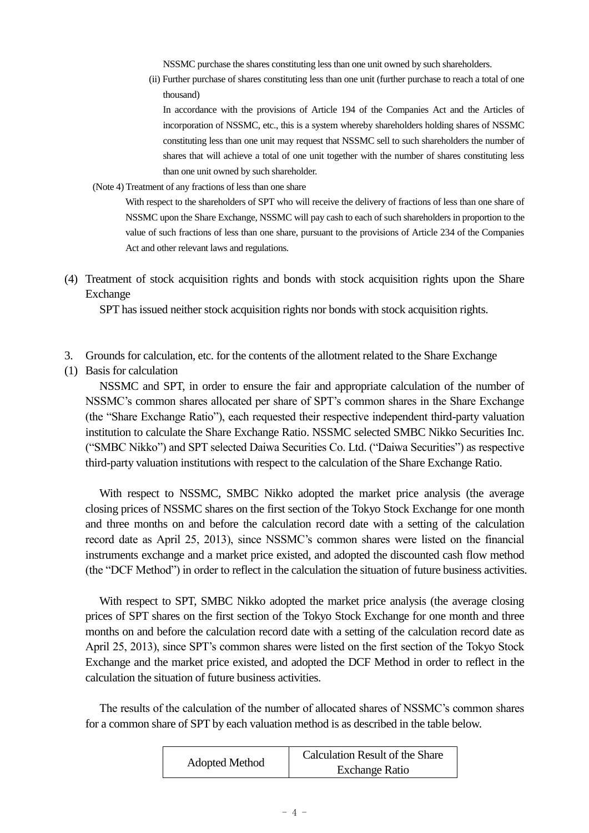NSSMC purchase the shares constituting less than one unit owned by such shareholders.

(ii) Further purchase of shares constituting less than one unit (further purchase to reach a total of one thousand)

In accordance with the provisions of Article 194 of the Companies Act and the Articles of incorporation of NSSMC, etc., this is a system whereby shareholders holding shares of NSSMC constituting less than one unit may request that NSSMC sell to such shareholders the number of shares that will achieve a total of one unit together with the number of shares constituting less than one unit owned by such shareholder.

(Note 4) Treatment of any fractions of less than one share

With respect to the shareholders of SPT who will receive the delivery of fractions of less than one share of NSSMC upon the Share Exchange, NSSMC will pay cash to each of such shareholders in proportion to the value of such fractions of less than one share, pursuant to the provisions of Article 234 of the Companies Act and other relevant laws and regulations.

(4) Treatment of stock acquisition rights and bonds with stock acquisition rights upon the Share Exchange

SPT has issued neither stock acquisition rights nor bonds with stock acquisition rights.

- 3. Grounds for calculation, etc. for the contents of the allotment related to the Share Exchange
- (1) Basis for calculation

NSSMC and SPT, in order to ensure the fair and appropriate calculation of the number of NSSMC's common shares allocated per share of SPT's common shares in the Share Exchange (the "Share Exchange Ratio"), each requested their respective independent third-party valuation institution to calculate the Share Exchange Ratio. NSSMC selected SMBC Nikko Securities Inc. ("SMBC Nikko") and SPT selected Daiwa Securities Co. Ltd. ("Daiwa Securities") as respective third-party valuation institutions with respect to the calculation of the Share Exchange Ratio.

With respect to NSSMC, SMBC Nikko adopted the market price analysis (the average closing prices of NSSMC shares on the first section of the Tokyo Stock Exchange for one month and three months on and before the calculation record date with a setting of the calculation record date as April 25, 2013), since NSSMC's common shares were listed on the financial instruments exchange and a market price existed, and adopted the discounted cash flow method (the "DCF Method") in order to reflect in the calculation the situation of future business activities.

With respect to SPT, SMBC Nikko adopted the market price analysis (the average closing prices of SPT shares on the first section of the Tokyo Stock Exchange for one month and three months on and before the calculation record date with a setting of the calculation record date as April 25, 2013), since SPT's common shares were listed on the first section of the Tokyo Stock Exchange and the market price existed, and adopted the DCF Method in order to reflect in the calculation the situation of future business activities.

The results of the calculation of the number of allocated shares of NSSMC's common shares for a common share of SPT by each valuation method is as described in the table below.

| Adopted Method | Calculation Result of the Share |  |
|----------------|---------------------------------|--|
|                | <b>Exchange Ratio</b>           |  |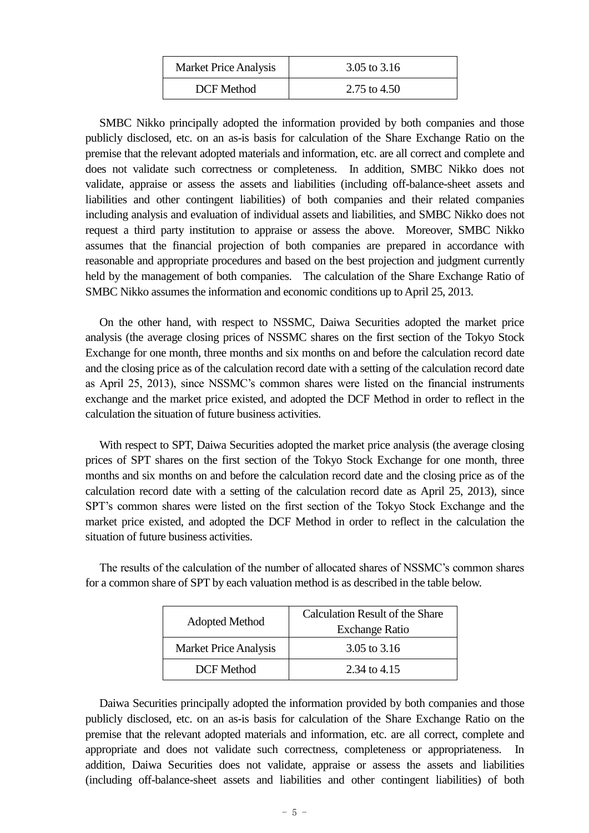| <b>Market Price Analysis</b> | 3.05 to $3.16$ |
|------------------------------|----------------|
| DCF Method                   | 2.75 to $4.50$ |

SMBC Nikko principally adopted the information provided by both companies and those publicly disclosed, etc. on an as-is basis for calculation of the Share Exchange Ratio on the premise that the relevant adopted materials and information, etc. are all correct and complete and does not validate such correctness or completeness. In addition, SMBC Nikko does not validate, appraise or assess the assets and liabilities (including off-balance-sheet assets and liabilities and other contingent liabilities) of both companies and their related companies including analysis and evaluation of individual assets and liabilities, and SMBC Nikko does not request a third party institution to appraise or assess the above. Moreover, SMBC Nikko assumes that the financial projection of both companies are prepared in accordance with reasonable and appropriate procedures and based on the best projection and judgment currently held by the management of both companies. The calculation of the Share Exchange Ratio of SMBC Nikko assumes the information and economic conditions up to April 25, 2013.

On the other hand, with respect to NSSMC, Daiwa Securities adopted the market price analysis (the average closing prices of NSSMC shares on the first section of the Tokyo Stock Exchange for one month, three months and six months on and before the calculation record date and the closing price as of the calculation record date with a setting of the calculation record date as April 25, 2013), since NSSMC's common shares were listed on the financial instruments exchange and the market price existed, and adopted the DCF Method in order to reflect in the calculation the situation of future business activities.

With respect to SPT, Daiwa Securities adopted the market price analysis (the average closing prices of SPT shares on the first section of the Tokyo Stock Exchange for one month, three months and six months on and before the calculation record date and the closing price as of the calculation record date with a setting of the calculation record date as April 25, 2013), since SPT's common shares were listed on the first section of the Tokyo Stock Exchange and the market price existed, and adopted the DCF Method in order to reflect in the calculation the situation of future business activities.

The results of the calculation of the number of allocated shares of NSSMC's common shares for a common share of SPT by each valuation method is as described in the table below.

| Adopted Method               | <b>Calculation Result of the Share</b><br><b>Exchange Ratio</b> |
|------------------------------|-----------------------------------------------------------------|
| <b>Market Price Analysis</b> | 3.05 to $3.16$                                                  |
| DCF Method                   | 2.34 to 4.15                                                    |

Daiwa Securities principally adopted the information provided by both companies and those publicly disclosed, etc. on an as-is basis for calculation of the Share Exchange Ratio on the premise that the relevant adopted materials and information, etc. are all correct, complete and appropriate and does not validate such correctness, completeness or appropriateness. In addition, Daiwa Securities does not validate, appraise or assess the assets and liabilities (including off-balance-sheet assets and liabilities and other contingent liabilities) of both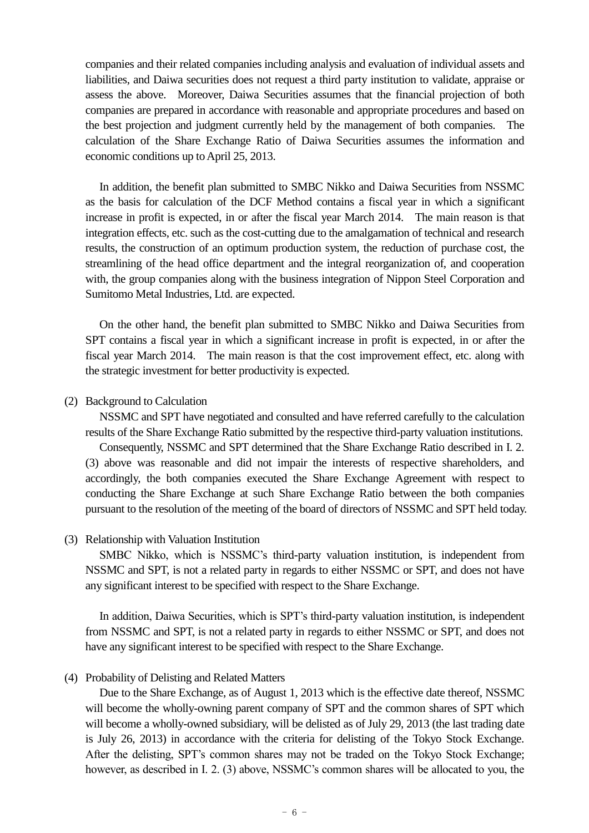companies and their related companies including analysis and evaluation of individual assets and liabilities, and Daiwa securities does not request a third party institution to validate, appraise or assess the above. Moreover, Daiwa Securities assumes that the financial projection of both companies are prepared in accordance with reasonable and appropriate procedures and based on the best projection and judgment currently held by the management of both companies. The calculation of the Share Exchange Ratio of Daiwa Securities assumes the information and economic conditions up to April 25, 2013.

In addition, the benefit plan submitted to SMBC Nikko and Daiwa Securities from NSSMC as the basis for calculation of the DCF Method contains a fiscal year in which a significant increase in profit is expected, in or after the fiscal year March 2014. The main reason is that integration effects, etc. such as the cost-cutting due to the amalgamation of technical and research results, the construction of an optimum production system, the reduction of purchase cost, the streamlining of the head office department and the integral reorganization of, and cooperation with, the group companies along with the business integration of Nippon Steel Corporation and Sumitomo Metal Industries, Ltd. are expected.

On the other hand, the benefit plan submitted to SMBC Nikko and Daiwa Securities from SPT contains a fiscal year in which a significant increase in profit is expected, in or after the fiscal year March 2014. The main reason is that the cost improvement effect, etc. along with the strategic investment for better productivity is expected.

### (2) Background to Calculation

NSSMC and SPT have negotiated and consulted and have referred carefully to the calculation results of the Share Exchange Ratio submitted by the respective third-party valuation institutions.

Consequently, NSSMC and SPT determined that the Share Exchange Ratio described in I. 2. (3) above was reasonable and did not impair the interests of respective shareholders, and accordingly, the both companies executed the Share Exchange Agreement with respect to conducting the Share Exchange at such Share Exchange Ratio between the both companies pursuant to the resolution of the meeting of the board of directors of NSSMC and SPT held today.

(3) Relationship with Valuation Institution

SMBC Nikko, which is NSSMC's third-party valuation institution, is independent from NSSMC and SPT, is not a related party in regards to either NSSMC or SPT, and does not have any significant interest to be specified with respect to the Share Exchange.

In addition, Daiwa Securities, which is SPT's third-party valuation institution, is independent from NSSMC and SPT, is not a related party in regards to either NSSMC or SPT, and does not have any significant interest to be specified with respect to the Share Exchange.

(4) Probability of Delisting and Related Matters

Due to the Share Exchange, as of August 1, 2013 which is the effective date thereof, NSSMC will become the wholly-owning parent company of SPT and the common shares of SPT which will become a wholly-owned subsidiary, will be delisted as of July 29, 2013 (the last trading date is July 26, 2013) in accordance with the criteria for delisting of the Tokyo Stock Exchange. After the delisting, SPT's common shares may not be traded on the Tokyo Stock Exchange; however, as described in I. 2. (3) above, NSSMC's common shares will be allocated to you, the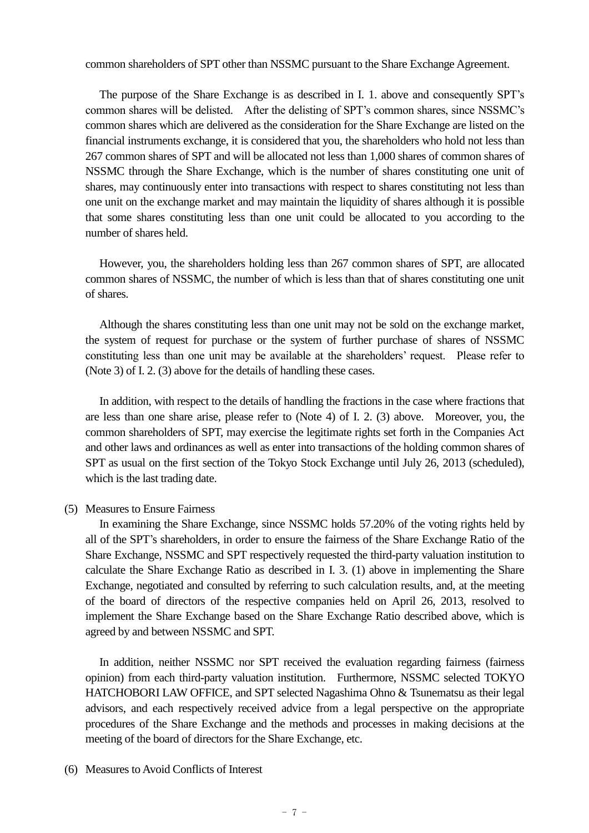common shareholders of SPT other than NSSMC pursuant to the Share Exchange Agreement.

The purpose of the Share Exchange is as described in I. 1. above and consequently SPT's common shares will be delisted. After the delisting of SPT's common shares, since NSSMC's common shares which are delivered as the consideration for the Share Exchange are listed on the financial instruments exchange, it is considered that you, the shareholders who hold not less than 267 common shares of SPT and will be allocated not less than 1,000 shares of common shares of NSSMC through the Share Exchange, which is the number of shares constituting one unit of shares, may continuously enter into transactions with respect to shares constituting not less than one unit on the exchange market and may maintain the liquidity of shares although it is possible that some shares constituting less than one unit could be allocated to you according to the number of shares held.

However, you, the shareholders holding less than 267 common shares of SPT, are allocated common shares of NSSMC, the number of which is less than that of shares constituting one unit of shares.

Although the shares constituting less than one unit may not be sold on the exchange market, the system of request for purchase or the system of further purchase of shares of NSSMC constituting less than one unit may be available at the shareholders' request. Please refer to (Note 3) of I. 2. (3) above for the details of handling these cases.

In addition, with respect to the details of handling the fractions in the case where fractions that are less than one share arise, please refer to (Note 4) of I. 2. (3) above. Moreover, you, the common shareholders of SPT, may exercise the legitimate rights set forth in the Companies Act and other laws and ordinances as well as enter into transactions of the holding common shares of SPT as usual on the first section of the Tokyo Stock Exchange until July 26, 2013 (scheduled), which is the last trading date.

## (5) Measures to Ensure Fairness

In examining the Share Exchange, since NSSMC holds 57.20% of the voting rights held by all of the SPT's shareholders, in order to ensure the fairness of the Share Exchange Ratio of the Share Exchange, NSSMC and SPT respectively requested the third-party valuation institution to calculate the Share Exchange Ratio as described in I. 3. (1) above in implementing the Share Exchange, negotiated and consulted by referring to such calculation results, and, at the meeting of the board of directors of the respective companies held on April 26, 2013, resolved to implement the Share Exchange based on the Share Exchange Ratio described above, which is agreed by and between NSSMC and SPT.

In addition, neither NSSMC nor SPT received the evaluation regarding fairness (fairness opinion) from each third-party valuation institution. Furthermore, NSSMC selected TOKYO HATCHOBORI LAW OFFICE, and SPT selected Nagashima Ohno & Tsunematsu as their legal advisors, and each respectively received advice from a legal perspective on the appropriate procedures of the Share Exchange and the methods and processes in making decisions at the meeting of the board of directors for the Share Exchange, etc.

### (6) Measures to Avoid Conflicts of Interest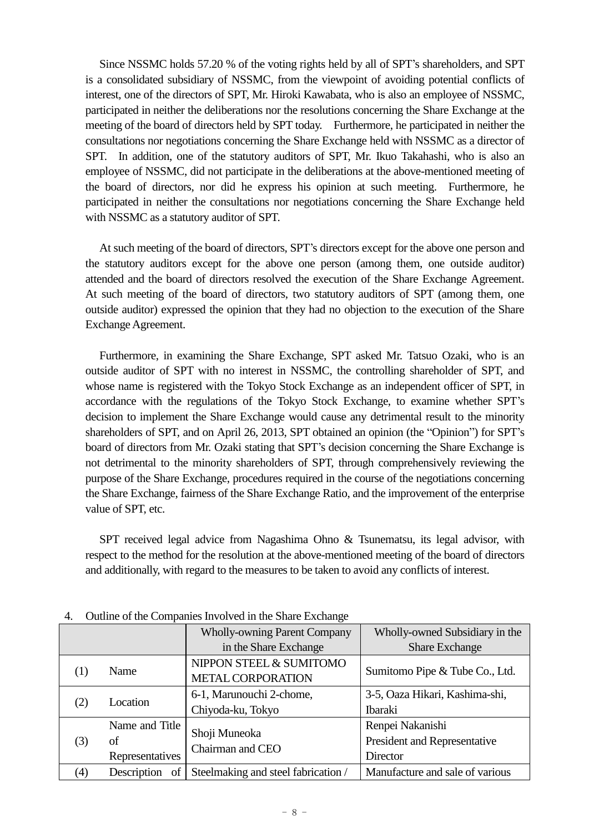Since NSSMC holds 57.20 % of the voting rights held by all of SPT's shareholders, and SPT is a consolidated subsidiary of NSSMC, from the viewpoint of avoiding potential conflicts of interest, one of the directors of SPT, Mr. Hiroki Kawabata, who is also an employee of NSSMC, participated in neither the deliberations nor the resolutions concerning the Share Exchange at the meeting of the board of directors held by SPT today. Furthermore, he participated in neither the consultations nor negotiations concerning the Share Exchange held with NSSMC as a director of SPT. In addition, one of the statutory auditors of SPT, Mr. Ikuo Takahashi, who is also an employee of NSSMC, did not participate in the deliberations at the above-mentioned meeting of the board of directors, nor did he express his opinion at such meeting. Furthermore, he participated in neither the consultations nor negotiations concerning the Share Exchange held with NSSMC as a statutory auditor of SPT.

At such meeting of the board of directors, SPT's directors except for the above one person and the statutory auditors except for the above one person (among them, one outside auditor) attended and the board of directors resolved the execution of the Share Exchange Agreement. At such meeting of the board of directors, two statutory auditors of SPT (among them, one outside auditor) expressed the opinion that they had no objection to the execution of the Share Exchange Agreement.

Furthermore, in examining the Share Exchange, SPT asked Mr. Tatsuo Ozaki, who is an outside auditor of SPT with no interest in NSSMC, the controlling shareholder of SPT, and whose name is registered with the Tokyo Stock Exchange as an independent officer of SPT, in accordance with the regulations of the Tokyo Stock Exchange, to examine whether SPT's decision to implement the Share Exchange would cause any detrimental result to the minority shareholders of SPT, and on April 26, 2013, SPT obtained an opinion (the "Opinion") for SPT's board of directors from Mr. Ozaki stating that SPT's decision concerning the Share Exchange is not detrimental to the minority shareholders of SPT, through comprehensively reviewing the purpose of the Share Exchange, procedures required in the course of the negotiations concerning the Share Exchange, fairness of the Share Exchange Ratio, and the improvement of the enterprise value of SPT, etc.

SPT received legal advice from Nagashima Ohno & Tsunematsu, its legal advisor, with respect to the method for the resolution at the above-mentioned meeting of the board of directors and additionally, with regard to the measures to be taken to avoid any conflicts of interest.

|     |                   | <b>Wholly-owning Parent Company</b> | Wholly-owned Subsidiary in the  |  |
|-----|-------------------|-------------------------------------|---------------------------------|--|
|     |                   | in the Share Exchange               | <b>Share Exchange</b>           |  |
| (1) | Name              | NIPPON STEEL & SUMITOMO             | Sumitomo Pipe & Tube Co., Ltd.  |  |
|     |                   | <b>METAL CORPORATION</b>            |                                 |  |
|     | Location          | 6-1, Marunouchi 2-chome,            | 3-5, Oaza Hikari, Kashima-shi,  |  |
| (2) |                   | Chiyoda-ku, Tokyo                   | <b>Ibaraki</b>                  |  |
|     | Name and Title    |                                     | Renpei Nakanishi                |  |
| (3) | of                | Shoji Muneoka<br>Chairman and CEO   | President and Representative    |  |
|     | Representatives   |                                     | Director                        |  |
| (4) | of<br>Description | Steelmaking and steel fabrication / | Manufacture and sale of various |  |

| 4. | Outline of the Companies Involved in the Share Exchange |  |  |  |  |
|----|---------------------------------------------------------|--|--|--|--|
|----|---------------------------------------------------------|--|--|--|--|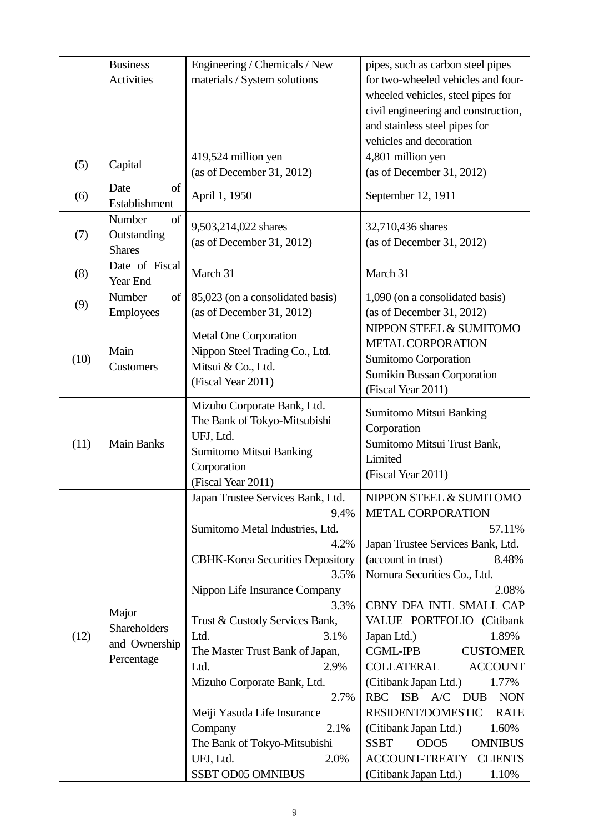|      | <b>Business</b>             | Engineering / Chemicals / New           | pipes, such as carbon steel pipes                 |  |
|------|-----------------------------|-----------------------------------------|---------------------------------------------------|--|
|      | <b>Activities</b>           | materials / System solutions            | for two-wheeled vehicles and four-                |  |
|      |                             |                                         | wheeled vehicles, steel pipes for                 |  |
|      |                             |                                         | civil engineering and construction,               |  |
|      |                             |                                         | and stainless steel pipes for                     |  |
|      |                             |                                         | vehicles and decoration                           |  |
| (5)  | Capital                     | 419,524 million yen                     | 4,801 million yen                                 |  |
|      |                             | (as of December 31, 2012)               | (as of December 31, 2012)                         |  |
| (6)  | of<br>Date<br>Establishment | April 1, 1950                           | September 12, 1911                                |  |
|      | Number<br>of                | 9,503,214,022 shares                    | 32,710,436 shares                                 |  |
| (7)  | Outstanding                 | (as of December 31, 2012)               | (as of December 31, 2012)                         |  |
|      | <b>Shares</b>               |                                         |                                                   |  |
| (8)  | Date of Fiscal<br>Year End  | March 31                                | March 31                                          |  |
| (9)  | Number<br>of                | 85,023 (on a consolidated basis)        | 1,090 (on a consolidated basis)                   |  |
|      | <b>Employees</b>            | (as of December 31, 2012)               | (as of December 31, 2012)                         |  |
|      |                             | Metal One Corporation                   | NIPPON STEEL & SUMITOMO                           |  |
|      | Main                        | Nippon Steel Trading Co., Ltd.          | METAL CORPORATION                                 |  |
| (10) | Customers                   | Mitsui & Co., Ltd.                      | Sumitomo Corporation                              |  |
|      |                             | (Fiscal Year 2011)                      | <b>Sumikin Bussan Corporation</b>                 |  |
|      |                             |                                         | (Fiscal Year 2011)                                |  |
|      |                             | Mizuho Corporate Bank, Ltd.             | Sumitomo Mitsui Banking                           |  |
|      |                             | The Bank of Tokyo-Mitsubishi            | Corporation                                       |  |
| (11) | <b>Main Banks</b>           | UFJ, Ltd.                               | Sumitomo Mitsui Trust Bank,                       |  |
|      |                             | <b>Sumitomo Mitsui Banking</b>          | Limited                                           |  |
|      |                             | Corporation<br>(Fiscal Year 2011)       | (Fiscal Year 2011)                                |  |
|      |                             | Japan Trustee Services Bank, Ltd.       | NIPPON STEEL & SUMITOMO                           |  |
|      |                             | 9.4%                                    | <b>METAL CORPORATION</b>                          |  |
|      |                             | Sumitomo Metal Industries, Ltd.         | 57.11%                                            |  |
|      |                             | 4.2%                                    | Japan Trustee Services Bank, Ltd.                 |  |
|      |                             | <b>CBHK-Korea Securities Depository</b> | (account in trust)<br>8.48%                       |  |
|      |                             | 3.5%                                    | Nomura Securities Co., Ltd.                       |  |
|      |                             | Nippon Life Insurance Company           | 2.08%                                             |  |
|      | Major                       | 3.3%                                    | CBNY DFA INTL SMALL CAP                           |  |
|      | Shareholders                | Trust & Custody Services Bank,          | VALUE PORTFOLIO (Citibank                         |  |
| (12) | and Ownership               | Ltd.<br>3.1%                            | Japan Ltd.)<br>1.89%                              |  |
|      | Percentage                  | The Master Trust Bank of Japan,         | <b>CGML-IPB</b><br><b>CUSTOMER</b>                |  |
|      |                             | 2.9%<br>Ltd.                            | <b>COLLATERAL</b><br><b>ACCOUNT</b>               |  |
|      |                             | Mizuho Corporate Bank, Ltd.             | (Citibank Japan Ltd.)<br>1.77%                    |  |
|      |                             | 2.7%                                    | RBC ISB A/C DUB<br><b>NON</b>                     |  |
|      |                             | Meiji Yasuda Life Insurance             | RESIDENT/DOMESTIC<br><b>RATE</b>                  |  |
|      |                             | 2.1%<br>Company                         | 1.60%<br>(Citibank Japan Ltd.)                    |  |
|      |                             | The Bank of Tokyo-Mitsubishi            | <b>SSBT</b><br>ODO <sub>5</sub><br><b>OMNIBUS</b> |  |
|      |                             | UFJ, Ltd.<br>2.0%                       | <b>ACCOUNT-TREATY</b><br><b>CLIENTS</b>           |  |
|      |                             | <b>SSBT OD05 OMNIBUS</b>                | (Citibank Japan Ltd.)<br>1.10%                    |  |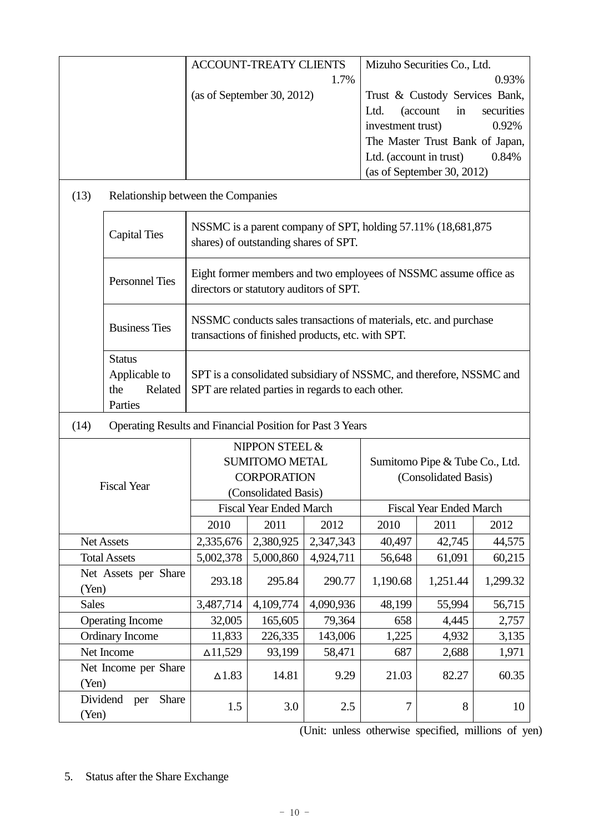|              |                                                             |                                                                                                                          | <b>ACCOUNT-TREATY CLIENTS</b>         |                                                                                                                        |                           | Mizuho Securities Co., Ltd.                      |                     |
|--------------|-------------------------------------------------------------|--------------------------------------------------------------------------------------------------------------------------|---------------------------------------|------------------------------------------------------------------------------------------------------------------------|---------------------------|--------------------------------------------------|---------------------|
|              |                                                             |                                                                                                                          |                                       | 1.7%                                                                                                                   |                           |                                                  | 0.93%               |
|              |                                                             |                                                                                                                          | (as of September 30, 2012)            |                                                                                                                        | Ltd.<br>investment trust) | Trust & Custody Services Bank,<br>(account<br>in | securities<br>0.92% |
|              |                                                             |                                                                                                                          |                                       |                                                                                                                        |                           | The Master Trust Bank of Japan,                  |                     |
|              |                                                             |                                                                                                                          |                                       |                                                                                                                        | Ltd. (account in trust)   |                                                  | 0.84%               |
|              |                                                             |                                                                                                                          |                                       |                                                                                                                        |                           | (as of September 30, 2012)                       |                     |
| (13)         | Relationship between the Companies                          |                                                                                                                          |                                       |                                                                                                                        |                           |                                                  |                     |
|              | <b>Capital Ties</b>                                         |                                                                                                                          | shares) of outstanding shares of SPT. | NSSMC is a parent company of SPT, holding 57.11% (18,681,875)                                                          |                           |                                                  |                     |
|              | <b>Personnel Ties</b>                                       |                                                                                                                          |                                       | Eight former members and two employees of NSSMC assume office as<br>directors or statutory auditors of SPT.            |                           |                                                  |                     |
|              | <b>Business Ties</b>                                        |                                                                                                                          |                                       | NSSMC conducts sales transactions of materials, etc. and purchase<br>transactions of finished products, etc. with SPT. |                           |                                                  |                     |
|              | <b>Status</b><br>Applicable to<br>the<br>Related<br>Parties | SPT is a consolidated subsidiary of NSSMC, and therefore, NSSMC and<br>SPT are related parties in regards to each other. |                                       |                                                                                                                        |                           |                                                  |                     |
| (14)         | Operating Results and Financial Position for Past 3 Years   |                                                                                                                          |                                       |                                                                                                                        |                           |                                                  |                     |
|              |                                                             |                                                                                                                          | NIPPON STEEL &                        |                                                                                                                        |                           |                                                  |                     |
|              |                                                             |                                                                                                                          | <b>SUMITOMO METAL</b>                 |                                                                                                                        |                           | Sumitomo Pipe & Tube Co., Ltd.                   |                     |
|              |                                                             |                                                                                                                          | <b>CORPORATION</b>                    |                                                                                                                        |                           | (Consolidated Basis)                             |                     |
|              | <b>Fiscal Year</b>                                          |                                                                                                                          | (Consolidated Basis)                  |                                                                                                                        |                           |                                                  |                     |
|              |                                                             |                                                                                                                          | <b>Fiscal Year Ended March</b>        |                                                                                                                        |                           | <b>Fiscal Year Ended March</b>                   |                     |
|              |                                                             | 2010                                                                                                                     | 2011                                  | 2012                                                                                                                   | 2010                      | 2011                                             | 2012                |
|              | Net Assets                                                  | 2,335,676                                                                                                                | 2,380,925                             | 2,347,343                                                                                                              | 40,497                    | 42,745                                           | 44,575              |
|              | <b>Total Assets</b>                                         | 5,002,378                                                                                                                | 5,000,860                             | 4,924,711                                                                                                              | 56,648                    | 61,091                                           | 60,215              |
|              | Net Assets per Share                                        | 293.18                                                                                                                   | 295.84                                | 290.77                                                                                                                 | 1,190.68                  | 1,251.44                                         | 1,299.32            |
| (Yen)        |                                                             |                                                                                                                          |                                       |                                                                                                                        |                           |                                                  |                     |
| <b>Sales</b> |                                                             | 3,487,714                                                                                                                | 4,109,774                             | 4,090,936                                                                                                              | 48,199                    | 55,994                                           | 56,715              |
|              | <b>Operating Income</b>                                     | 32,005                                                                                                                   | 165,605                               | 79,364                                                                                                                 | 658                       | 4,445                                            | 2,757               |
|              | <b>Ordinary Income</b><br>226,335<br>11,833<br>143,006      |                                                                                                                          | 1,225                                 | 4,932                                                                                                                  | 3,135                     |                                                  |                     |
|              | Net Income                                                  | $\Delta$ 11,529                                                                                                          | 93,199                                | 58,471                                                                                                                 | 687                       | 2,688                                            | 1,971               |
| (Yen)        | Net Income per Share                                        | $\Delta$ 1.83                                                                                                            | 14.81                                 | 9.29                                                                                                                   | 21.03                     | 82.27                                            | 60.35               |
| (Yen)        | Dividend<br>Share<br>per                                    | 1.5                                                                                                                      | 3.0                                   | 2.5                                                                                                                    | 7                         | 8                                                | 10                  |

(Unit: unless otherwise specified, millions of yen)

# 5. Status after the Share Exchange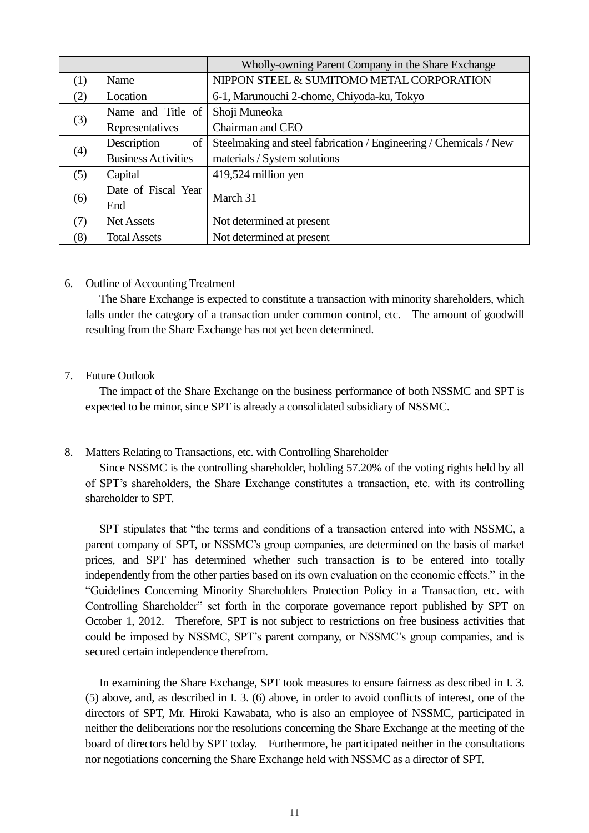|                   |                            | Wholly-owning Parent Company in the Share Exchange                |  |
|-------------------|----------------------------|-------------------------------------------------------------------|--|
| (1)               | Name                       | NIPPON STEEL & SUMITOMO METAL CORPORATION                         |  |
| (2)               | Location                   | 6-1, Marunouchi 2-chome, Chiyoda-ku, Tokyo                        |  |
|                   | Name and Title of          | Shoji Muneoka                                                     |  |
| (3)               | Representatives            | Chairman and CEO                                                  |  |
| Description<br>of |                            | Steelmaking and steel fabrication / Engineering / Chemicals / New |  |
| (4)               | <b>Business Activities</b> | materials / System solutions                                      |  |
| (5)               | Capital                    | 419,524 million yen                                               |  |
|                   | Date of Fiscal Year        | March 31                                                          |  |
| (6)               | End                        |                                                                   |  |
| (7)               | <b>Net Assets</b>          | Not determined at present                                         |  |
| (8)               | <b>Total Assets</b>        | Not determined at present                                         |  |

## 6. Outline of Accounting Treatment

The Share Exchange is expected to constitute a transaction with minority shareholders, which falls under the category of a transaction under common control, etc. The amount of goodwill resulting from the Share Exchange has not yet been determined.

## 7. Future Outlook

The impact of the Share Exchange on the business performance of both NSSMC and SPT is expected to be minor, since SPT is already a consolidated subsidiary of NSSMC.

# 8. Matters Relating to Transactions, etc. with Controlling Shareholder

Since NSSMC is the controlling shareholder, holding 57.20% of the voting rights held by all of SPT's shareholders, the Share Exchange constitutes a transaction, etc. with its controlling shareholder to SPT.

SPT stipulates that "the terms and conditions of a transaction entered into with NSSMC, a parent company of SPT, or NSSMC's group companies, are determined on the basis of market prices, and SPT has determined whether such transaction is to be entered into totally independently from the other parties based on its own evaluation on the economic effects." in the "Guidelines Concerning Minority Shareholders Protection Policy in a Transaction, etc. with Controlling Shareholder" set forth in the corporate governance report published by SPT on October 1, 2012. Therefore, SPT is not subject to restrictions on free business activities that could be imposed by NSSMC, SPT's parent company, or NSSMC's group companies, and is secured certain independence therefrom.

In examining the Share Exchange, SPT took measures to ensure fairness as described in I. 3. (5) above, and, as described in I. 3. (6) above, in order to avoid conflicts of interest, one of the directors of SPT, Mr. Hiroki Kawabata, who is also an employee of NSSMC, participated in neither the deliberations nor the resolutions concerning the Share Exchange at the meeting of the board of directors held by SPT today. Furthermore, he participated neither in the consultations nor negotiations concerning the Share Exchange held with NSSMC as a director of SPT.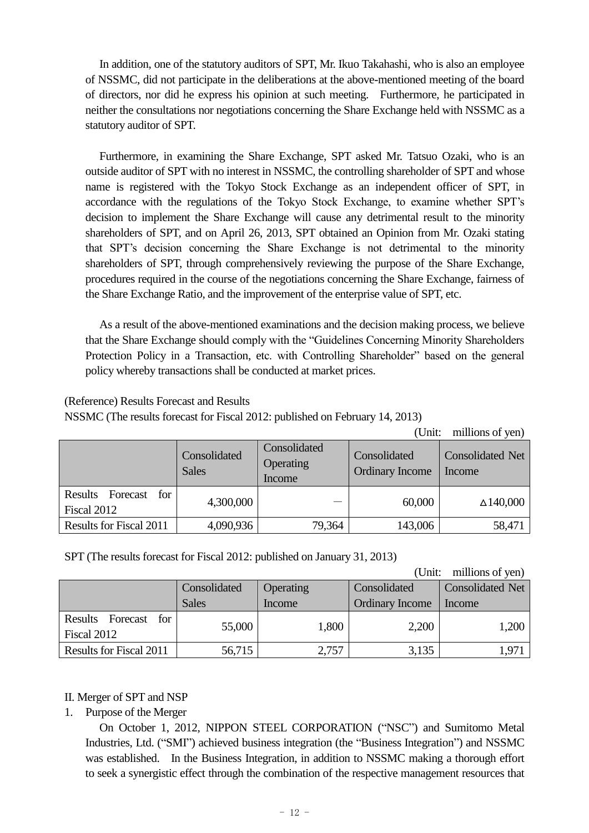In addition, one of the statutory auditors of SPT, Mr. Ikuo Takahashi, who is also an employee of NSSMC, did not participate in the deliberations at the above-mentioned meeting of the board of directors, nor did he express his opinion at such meeting. Furthermore, he participated in neither the consultations nor negotiations concerning the Share Exchange held with NSSMC as a statutory auditor of SPT.

Furthermore, in examining the Share Exchange, SPT asked Mr. Tatsuo Ozaki, who is an outside auditor of SPT with no interest in NSSMC, the controlling shareholder of SPT and whose name is registered with the Tokyo Stock Exchange as an independent officer of SPT, in accordance with the regulations of the Tokyo Stock Exchange, to examine whether SPT's decision to implement the Share Exchange will cause any detrimental result to the minority shareholders of SPT, and on April 26, 2013, SPT obtained an Opinion from Mr. Ozaki stating that SPT's decision concerning the Share Exchange is not detrimental to the minority shareholders of SPT, through comprehensively reviewing the purpose of the Share Exchange, procedures required in the course of the negotiations concerning the Share Exchange, fairness of the Share Exchange Ratio, and the improvement of the enterprise value of SPT, etc.

As a result of the above-mentioned examinations and the decision making process, we believe that the Share Exchange should comply with the "Guidelines Concerning Minority Shareholders Protection Policy in a Transaction, etc. with Controlling Shareholder" based on the general policy whereby transactions shall be conducted at market prices.

## (Reference) Results Forecast and Results

NSSMC (The results forecast for Fiscal 2012: published on February 14, 2013)

| millions of yen)<br>(Unit:             |                              |                                     |                                        |                                   |  |
|----------------------------------------|------------------------------|-------------------------------------|----------------------------------------|-----------------------------------|--|
|                                        | Consolidated<br><b>Sales</b> | Consolidated<br>Operating<br>Income | Consolidated<br><b>Ordinary Income</b> | <b>Consolidated Net</b><br>Income |  |
| for<br>Results Forecast<br>Fiscal 2012 | 4,300,000                    |                                     | 60,000                                 | $\Delta$ 140,000                  |  |
| <b>Results for Fiscal 2011</b>         | 4,090,936                    | 79,364                              | 143,006                                | 58,471                            |  |

SPT (The results forecast for Fiscal 2012: published on January 31, 2013)

(Unit: millions of yen)

|                                        | Consolidated | Operating | Consolidated    | <b>Consolidated Net</b> |
|----------------------------------------|--------------|-----------|-----------------|-------------------------|
|                                        | <b>Sales</b> | Income    | Ordinary Income | Income                  |
| Results Forecast<br>for<br>Fiscal 2012 | 55,000       | 1,800     | 2,200           | 1,200                   |
| <b>Results for Fiscal 2011</b>         | 56,715       | 2,757     | 3,135           | 1.97                    |

# II. Merger of SPT and NSP

1. Purpose of the Merger

On October 1, 2012, NIPPON STEEL CORPORATION ("NSC") and Sumitomo Metal Industries, Ltd. ("SMI") achieved business integration (the "Business Integration") and NSSMC was established. In the Business Integration, in addition to NSSMC making a thorough effort to seek a synergistic effect through the combination of the respective management resources that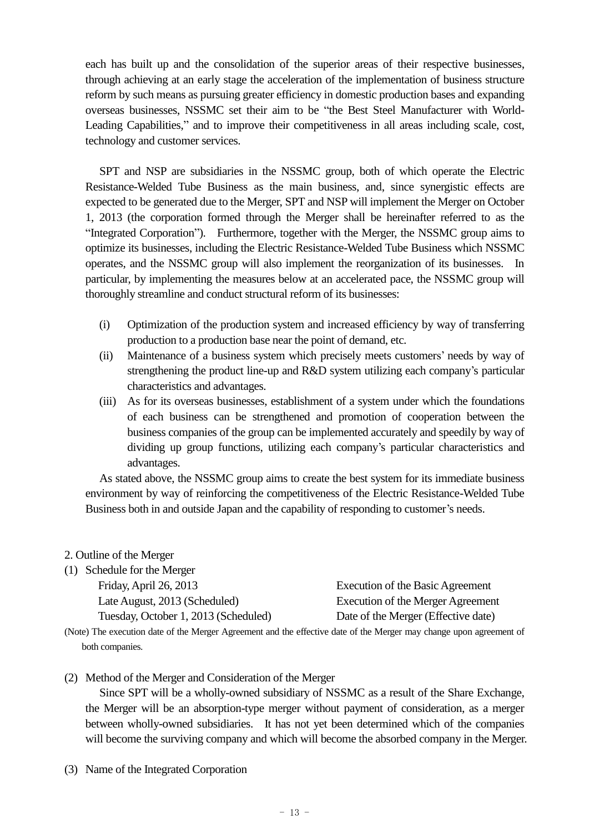each has built up and the consolidation of the superior areas of their respective businesses, through achieving at an early stage the acceleration of the implementation of business structure reform by such means as pursuing greater efficiency in domestic production bases and expanding overseas businesses, NSSMC set their aim to be "the Best Steel Manufacturer with World-Leading Capabilities," and to improve their competitiveness in all areas including scale, cost, technology and customer services.

SPT and NSP are subsidiaries in the NSSMC group, both of which operate the Electric Resistance-Welded Tube Business as the main business, and, since synergistic effects are expected to be generated due to the Merger, SPT and NSP will implement the Merger on October 1, 2013 (the corporation formed through the Merger shall be hereinafter referred to as the "Integrated Corporation"). Furthermore, together with the Merger, the NSSMC group aims to optimize its businesses, including the Electric Resistance-Welded Tube Business which NSSMC operates, and the NSSMC group will also implement the reorganization of its businesses. In particular, by implementing the measures below at an accelerated pace, the NSSMC group will thoroughly streamline and conduct structural reform of its businesses:

- (i) Optimization of the production system and increased efficiency by way of transferring production to a production base near the point of demand, etc.
- (ii) Maintenance of a business system which precisely meets customers' needs by way of strengthening the product line-up and R&D system utilizing each company's particular characteristics and advantages.
- (iii) As for its overseas businesses, establishment of a system under which the foundations of each business can be strengthened and promotion of cooperation between the business companies of the group can be implemented accurately and speedily by way of dividing up group functions, utilizing each company's particular characteristics and advantages.

As stated above, the NSSMC group aims to create the best system for its immediate business environment by way of reinforcing the competitiveness of the Electric Resistance-Welded Tube Business both in and outside Japan and the capability of responding to customer's needs.

#### 2. Outline of the Merger

| Execution of the Basic Agreement    |
|-------------------------------------|
| Execution of the Merger Agreement   |
| Date of the Merger (Effective date) |
|                                     |

(Note) The execution date of the Merger Agreement and the effective date of the Merger may change upon agreement of both companies.

(2) Method of the Merger and Consideration of the Merger

Since SPT will be a wholly-owned subsidiary of NSSMC as a result of the Share Exchange, the Merger will be an absorption-type merger without payment of consideration, as a merger between wholly-owned subsidiaries. It has not yet been determined which of the companies will become the surviving company and which will become the absorbed company in the Merger.

(3) Name of the Integrated Corporation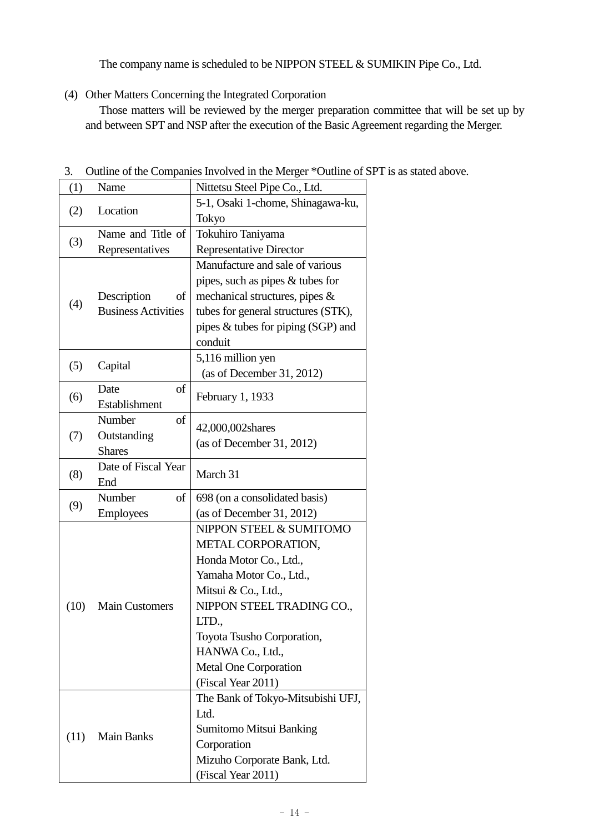The company name is scheduled to be NIPPON STEEL & SUMIKIN Pipe Co., Ltd.

(4) Other Matters Concerning the Integrated Corporation

Those matters will be reviewed by the merger preparation committee that will be set up by and between SPT and NSP after the execution of the Basic Agreement regarding the Merger.

| 5-1, Osaki 1-chome, Shinagawa-ku,<br>Location<br>(2)<br>Tokyo<br>Name and Title of<br>Tokuhiro Taniyama<br>(3)<br>Representatives<br><b>Representative Director</b><br>Manufacture and sale of various<br>pipes, such as pipes $&$ tubes for |
|----------------------------------------------------------------------------------------------------------------------------------------------------------------------------------------------------------------------------------------------|
|                                                                                                                                                                                                                                              |
|                                                                                                                                                                                                                                              |
|                                                                                                                                                                                                                                              |
|                                                                                                                                                                                                                                              |
|                                                                                                                                                                                                                                              |
|                                                                                                                                                                                                                                              |
| mechanical structures, pipes &<br>Description<br>of                                                                                                                                                                                          |
| (4)<br><b>Business Activities</b><br>tubes for general structures (STK),                                                                                                                                                                     |
| pipes & tubes for piping (SGP) and                                                                                                                                                                                                           |
| conduit                                                                                                                                                                                                                                      |
| 5,116 million yen<br>(5)<br>Capital                                                                                                                                                                                                          |
| (as of December 31, 2012)                                                                                                                                                                                                                    |
| Date<br>of<br>(6)<br>February 1, 1933                                                                                                                                                                                                        |
| Establishment                                                                                                                                                                                                                                |
| Number<br>of<br>42,000,002shares                                                                                                                                                                                                             |
| Outstanding<br>(7)<br>(as of December 31, 2012)                                                                                                                                                                                              |
| <b>Shares</b>                                                                                                                                                                                                                                |
| Date of Fiscal Year<br>(8)<br>March 31                                                                                                                                                                                                       |
| End                                                                                                                                                                                                                                          |
| Number<br>698 (on a consolidated basis)<br>of<br>(9)                                                                                                                                                                                         |
| (as of December 31, 2012)<br><b>Employees</b>                                                                                                                                                                                                |
| NIPPON STEEL & SUMITOMO                                                                                                                                                                                                                      |
| METAL CORPORATION,                                                                                                                                                                                                                           |
| Honda Motor Co., Ltd.,                                                                                                                                                                                                                       |
| Yamaha Motor Co., Ltd.,                                                                                                                                                                                                                      |
| Mitsui & Co., Ltd.,                                                                                                                                                                                                                          |
| NIPPON STEEL TRADING CO.,<br>(10)<br><b>Main Customers</b><br>LTD.,                                                                                                                                                                          |
|                                                                                                                                                                                                                                              |
| Toyota Tsusho Corporation,<br>HANWA Co., Ltd.,                                                                                                                                                                                               |
| <b>Metal One Corporation</b>                                                                                                                                                                                                                 |
| (Fiscal Year 2011)                                                                                                                                                                                                                           |
| The Bank of Tokyo-Mitsubishi UFJ,                                                                                                                                                                                                            |
| Ltd.                                                                                                                                                                                                                                         |
| <b>Sumitomo Mitsui Banking</b>                                                                                                                                                                                                               |
| (11)<br><b>Main Banks</b><br>Corporation                                                                                                                                                                                                     |
| Mizuho Corporate Bank, Ltd.                                                                                                                                                                                                                  |
| (Fiscal Year 2011)                                                                                                                                                                                                                           |

3. Outline of the Companies Involved in the Merger \*Outline of SPT is as stated above.